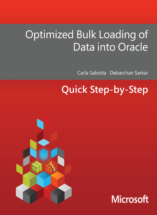# Optimized Bulk Loading of Data into Oracle

Carla Sabotta Debarchan Sarkar

## **Quick Step-by-Step**



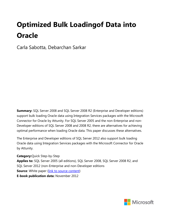### **Optimized Bulk Loadingof Data into Oracle**

Carla Sabotta, Debarchan Sarkar

**Summary:** SQL Server 2008 and SQL Server 2008 R2 (Enterprise and Developer editions) support bulk loading Oracle data using Integration Services packages with the Microsoft Connector for Oracle by Attunity. For SQL Server 2005 and the non-Enterprise and non-Developer editions of SQL Server 2008 and 2008 R2, there are alternatives for achieving optimal performance when loading Oracle data. This paper discusses these alternatives.

The Enterprise and Developer editions of SQL Server 2012 also support bulk loading Oracle data using Integration Services packages with the Microsoft Connector for Oracle by Attunity.

**Category:**Quick Step-by-Step **Applies to:** SQL Server 2005 (all editions), SQL Server 2008, SQL Server 2008 R2, and SQL Server 2012 (non-Enterprise and non-Developer editions **Source:** White paper [\(link to source content\)](http://msdn.microsoft.com/en-us/library/hh923024.aspx) **E-book publication data:** November 2012

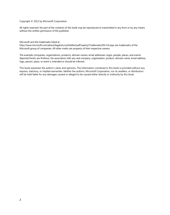#### Copyright © 2012 by Microsoft Corporation

All rights reserved. No part of the contents of this book may be reproduced or transmitted in any form or by any means without the written permission of the publisher.

Microsoft and the trademarks listed at

<http://www.microsoft.com/about/legal/en/us/IntellectualProperty/Trademarks/EN-US.aspx>are trademarks of the Microsoft group of companies. All other marks are property of their respective owners.

The example companies, organizations, products, domain names, email addresses, logos, people, places, and events depicted herein are fictitious. No association with any real company, organization, product, domain name, email address, logo, person, place, or event is intended or should be inferred.

This book expresses the author's views and opinions. The information contained in this book is provided without any express, statutory, or implied warranties. Neither the authors, Microsoft Corporation, nor its resellers, or distributors will be held liable for any damages caused or alleged to be caused either directly or indirectly by this book.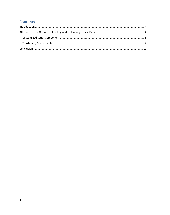### <span id="page-3-0"></span>**Contents**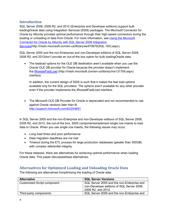#### <span id="page-4-0"></span>**[Introduction](#page-3-0)**

SQL Server 2008, 2008 R2, and 2012 (Enterprise and Developer editions) support bulk loadingOracle data using Integration Services (SSIS) packages. The Microsoft Connector for Oracle by Attunity provides optimal performance through their high-speed connectors during the loading or unloading of data from Oracle. For more information, see [Using the Microsoft](http://msdn.microsoft.com/en-us/library/ee470675(SQL.100).aspx)  [Connector for Oracle by Attunity with SQL Server 2008 Integration](http://msdn.microsoft.com/en-us/library/ee470675(SQL.100).aspx)  [Services\(http://msdn.microsoft.com/en-us/library/ee470675\(SQL.100\).aspx\)](http://msdn.microsoft.com/en-us/library/ee470675(SQL.100).aspx).

SQL Server 2005 and the non-Enterprise and non-Developer editions of SQL Server 2008, 2008 R2, and 2012don't provide an out-of-the box option for bulk loadingOracle data.

• The fastload options for the OLE DB destination aren't available when you use the Oracle OLE DB provider for Oracle because the provider doesn't implement the [IRowsetFastLoad](http://msdn.microsoft.com/en-us/library/ms131708.aspx) ([http://msdn.microsoft.com/en-us/library/ms131708.aspx\)](http://msdn.microsoft.com/en-us/library/ms131708.aspx) interface.

In addition, the current design of SSIS is such that it makes the fast load options available only for the SQL providers. The options aren't available for any other provider even if the provider implements the IRowsetFastLoad interface.

<span id="page-4-1"></span>• The Microsoft OLE DB Provider for Oracle is deprecated and not recommended to use against Oracle versions later than 8i. <http://support.microsoft.com/kb/244661>

In SQL Server 2005 and the non-Enterprise and non-Developer editions of SQL Server 2008, 2008 R2, and 2012, the out-of-the box, SSIS componentsimplement single row inserts to load data to Oracle. When you use single row inserts, the following issues may occur.

- Long load times and poor performance
- Data migration deadlines are not met
- Timeout during the ETL process for large production databases (greater than 500GB) with complex referential integrity

For these releases, there are alternatives for achieving optimal performance when loading Oracle data. This paper discussesthese alternatives.

#### **Alternatives [for Optimized Loading and Unloading Oracle Data](#page-3-0)**

The following are alternatives foroptimizing the loading of Oracle data.

| <b>Alternative</b>                 | <b>SQL Server Versions</b>                                                                                     |
|------------------------------------|----------------------------------------------------------------------------------------------------------------|
| <b>Customized Script component</b> | SQL Server 2005 and the non-Enterprise and<br>non-Developer editions of SQL Server 2008,<br>2008 R2, and 2012. |
| Third-party components             | SQL Server 2005 and the non-Enterprise and                                                                     |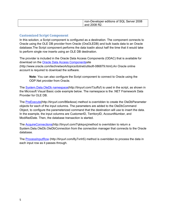<span id="page-5-0"></span>

| I non-Developer editions of SQL Server 2008 |
|---------------------------------------------|
| and 2008 R2.                                |
|                                             |

#### **[Customized Script Component](#page-3-0)**

In this solution, a Script component is configured as a destination. The component connects to Oracle using the OLE DB provider from Oracle (OraOLEDB) and bulk loads data to an Oracle database.The Script component performs the data loadin about half the time that it would take to perform single row inserts using an OLE DB destination.

The provider is included in the Oracle Data Access Components (ODAC) that is available for download on the [Oracle Data Access Componentss](http://www.oracle.com/technetwork/topics/dotnet/utilsoft-086879.html)ite

([http://www.oracle.com/technetwork/topics/dotnet/utilsoft-086879.html\).](http://www.oracle.com/technetwork/topics/dotnet/utilsoft-086879.html)An Oracle online account is required to download the software.

**Note**: You can also configure the Script component to connect to Oracle using the ODP.Net provider from Oracle.

The [System.Data.OleDb namespace\(](http://msdn.microsoft.com/en-us/library/system.data.oledb(VS.80).aspx)[http://tinyurl.com/7zuffuf\)](http://tinyurl.com/7zuffuf) is used in the script, as shown in the Microsoft Visual Basic code example below. The namespace is the .NET Framework Data Provider for OLE DB.

The [PreExecute\(](http://msdn.microsoft.com/en-us/library/microsoft.sqlserver.dts.pipeline.scriptcomponent.preexecute(SQL.90).aspx)[http://tinyurl.com/86e4exe\)](http://tinyurl.com/86e4exe) method is overridden to create the OleDbParameter objects for each of the input columns. The parameters are added to the OleDbCommand Object, to configure the parameterized command that the destination will use to insert the data. In the example, the input columns are CustomerID, TerritoryID, AccountNumber, and ModifiedDate. Then, the database transaction is started.

The [AcquireConnections\(](http://msdn.microsoft.com/en-us/library/microsoft.sqlserver.dts.pipeline.scriptcomponent.acquireconnections(SQL.90).aspx)[http://tinyurl.com/7qkkqvq\)](http://tinyurl.com/7qkkqvq)method is overridden to return a System.Data.OleDb.OleDbConnection from the connection manager that connects to the Oracle database.

The [ProcessInputRow](http://msdn.microsoft.com/en-us/library/ms187303(SQL.90).aspx) ([http://tinyurl.com/8y7vnh5\)](http://tinyurl.com/8y7vnh5) method is overridden to process the data in each input row as it passes through.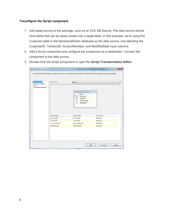#### **Toconfigure the Script component**

- 1. Add adata source to the package, such as an OLE DB Source. The data source should have fields that can be easily loaded into a target table. In this example, we're using the Customer table in the AdventureWorks database as the data source, and selecting the CustomerID, TerritoryID, AccountNumber, and ModifiedDate input columns.
- 2. Add a Script component and configure the component as a destination. Connect the component to the data source.
- 3. Double-click the Script component to open the **Script Transformation Editor**.

| Script Transformation Editor                                                                                                                 |                     | $-1$                                                                                                                                                                           | $\mathbf{x}$<br>$\Box$ |  |
|----------------------------------------------------------------------------------------------------------------------------------------------|---------------------|--------------------------------------------------------------------------------------------------------------------------------------------------------------------------------|------------------------|--|
| Access Microsoft Visual Studio for Applications (VSA) to write scripts using Microsoft Visual Basic .NET and configure component properties. |                     |                                                                                                                                                                                |                        |  |
| <b>Input Columns</b><br><b>Inputs and Outputs</b><br><b>Script</b><br><b>Connection Managers</b>                                             | Input name:         | Input 0<br>Available Input Columns<br>Name<br>CustomerID<br>$\overline{\mathcal{A}}$<br>TerritoryID<br>$\nabla$<br>AccountNumber<br>$\overline{v}$<br>ModifiedDate<br>$\nabla$ |                        |  |
|                                                                                                                                              | <b>Input Column</b> | <b>Output Alias</b>                                                                                                                                                            | <b>Usage Type</b>      |  |
|                                                                                                                                              | CustomerID          | CustomerID                                                                                                                                                                     | ReadOnly               |  |
|                                                                                                                                              | TerritoryID         | TerritoryID                                                                                                                                                                    | <b>ReadOnly</b>        |  |
|                                                                                                                                              | AccountNumber       | AccountNumber                                                                                                                                                                  | <b>ReadOnly</b>        |  |
|                                                                                                                                              | ModifiedDate        | ModifiedDate                                                                                                                                                                   | <b>ReadOnly</b>        |  |
|                                                                                                                                              |                     |                                                                                                                                                                                | OK<br>Cancel<br>Help   |  |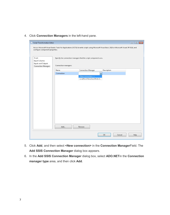4. Click **Connection Managers** in the left-hand pane.

| Script Transformation Editor                                                       |                                                                                         |                           |                                                                                                                                                  | $\begin{array}{ c c c }\n\hline\n\hline\n\end{array}$<br>$\qquad \qquad \Box$ |
|------------------------------------------------------------------------------------|-----------------------------------------------------------------------------------------|---------------------------|--------------------------------------------------------------------------------------------------------------------------------------------------|-------------------------------------------------------------------------------|
| configure component properties.                                                    |                                                                                         |                           | Access Microsoft Visual Studio Tools for Applications (VSTA) to write scripts using Microsoft Visual Basic 2010 or Microsoft Visual C# 2010, and |                                                                               |
| Script<br><b>Input Columns</b><br>Inputs and Outputs<br><b>Connection Managers</b> | Specify the connection managers that the script component uses.<br>Connection managers: |                           |                                                                                                                                                  |                                                                               |
|                                                                                    | Name                                                                                    | <b>Connection Manager</b> | Description                                                                                                                                      |                                                                               |
|                                                                                    | Connection                                                                              |                           | Ξ                                                                                                                                                |                                                                               |
|                                                                                    |                                                                                         | <new connection=""></new> |                                                                                                                                                  |                                                                               |
|                                                                                    |                                                                                         | LocalHost.AdventureWorks2 |                                                                                                                                                  |                                                                               |
|                                                                                    |                                                                                         |                           |                                                                                                                                                  |                                                                               |
|                                                                                    |                                                                                         |                           |                                                                                                                                                  |                                                                               |
|                                                                                    |                                                                                         |                           |                                                                                                                                                  |                                                                               |
|                                                                                    |                                                                                         |                           |                                                                                                                                                  |                                                                               |
|                                                                                    |                                                                                         |                           |                                                                                                                                                  |                                                                               |
|                                                                                    |                                                                                         |                           |                                                                                                                                                  |                                                                               |
|                                                                                    |                                                                                         |                           |                                                                                                                                                  |                                                                               |
|                                                                                    |                                                                                         |                           |                                                                                                                                                  |                                                                               |
|                                                                                    |                                                                                         |                           |                                                                                                                                                  |                                                                               |
|                                                                                    |                                                                                         |                           |                                                                                                                                                  |                                                                               |
|                                                                                    |                                                                                         |                           |                                                                                                                                                  |                                                                               |
|                                                                                    |                                                                                         |                           |                                                                                                                                                  |                                                                               |
|                                                                                    | Add                                                                                     | Remove                    |                                                                                                                                                  |                                                                               |
|                                                                                    |                                                                                         |                           | OK<br>Cancel                                                                                                                                     | Help                                                                          |
|                                                                                    |                                                                                         |                           |                                                                                                                                                  | al.                                                                           |

- 5. Click **Add**, and then select **<New connection>** in the **Connection Manager**Field. The **Add SSIS Connection Manager** dialog box appears.
- 6. In the **Add SSIS Connection Manager** dialog box, select **ADO.NET**in the **Connection manager type** area, and then click **Add**.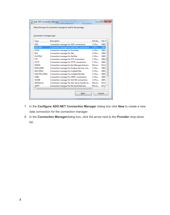|                          | Select the type of connection manager to add to the package. |                          |                     |
|--------------------------|--------------------------------------------------------------|--------------------------|---------------------|
|                          |                                                              |                          |                     |
| Connection manager type: |                                                              |                          |                     |
| <b>Type</b>              | Description                                                  | File Na                  | File V <sup>-</sup> |
| <b>ADO</b>               | Connection manager for ADO connections                       | $C:\P$ ro                | 2005.               |
| ADO.NET                  | Connection manager for ADO.NET connections                   | $C:\P$ ro                | 2005.               |
| <b>EXCEL</b>             | Connection manager for Excel files                           | $C:\P$ ro                | 2005.               |
| <b>FILE</b>              | Connection manager for files                                 | $C:\P$ ro                | 2005.               |
| <b>FI ATFILE</b>         | Connection manager for flat files                            | $C:$ Pro                 | 2005.               |
| <b>FTP</b>               | Connection manager for FTP connections                       | $C\setminus$ Pro $\dots$ | $2005. \equiv$      |
| <b>HTTP</b>              | Connection manager for HTTP connections                      | $C:$ Pro                 | 2005.               |
| MSMO                     | Connection manager for the Message Queue t                   | Micros                   | 9.0.24              |
| MSOLAP90                 | Connection manager for Analysis Services con                 | $C:\P$ ro                | 2005.               |
| <b>MULTIFILE</b>         | Connection manager for multiple files                        | $C\backslash$ Pro        | 2005.               |
| <b>MULTIFLATFILE</b>     | Connection manager for multiple flat files                   | $C:\P$ ro                | 2005.               |
| <b>ODBC</b>              | Connection manager for ODBC connections                      | $C:\P$ ro                | 2005.               |
| <b>OLEDB</b>             | Connection manager for OLE DB connections                    | $C:\P$ ro                | 2005.               |
| <b>SMOServer</b>         | Connection manager for SQL Server transfer ta                | Micros                   | 9.0.24              |
| <b>SMTP</b>              | Connection manager for the Send Mail task                    | Micros                   | 9.0.24              |
|                          | ш                                                            |                          |                     |

- 7. In the **Configure ADO.NET Connection Manager** dialog box click **New** to create a new data connection for the connection manager.
- 8. In the **Connection Manager**dialog box, click the arrow next to the **Provider** drop-down list.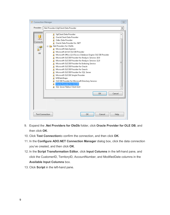

- 9. Expand the **.Net Providers for OleDb** folder, click **Oracle Provider for OLE DB**, and then click **OK**.
- 10. Click **Test Connection**to confirm the connection, and then click **OK**.
- 11. In the **Configure ADO.NET Connection Manager** dialog box, click the data connection you've created, and then click **OK**.
- 12. In the **Script Transformation Editor**, click **Input Columns** in the left-hand pane, and click the CustomerID, TerritoryID, AccountNumber, and ModifiedDate columns in the **Available Input Columns** box.
- 13. Click **Script** in the left-hand pane.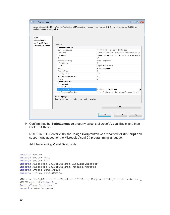| Script Transformation Editor                         |                                                                          | $\Box$ $\Box$ $\mathbf{x}$                                                                                                                       |  |
|------------------------------------------------------|--------------------------------------------------------------------------|--------------------------------------------------------------------------------------------------------------------------------------------------|--|
| configure component properties.                      |                                                                          | Access Microsoft Visual Studio Tools for Applications (VSTA) to write scripts using Microsoft Visual Basic 2010 or Microsoft Visual C# 2010, and |  |
| Script<br><b>Input Columns</b><br>Inputs and Outputs | Properties:                                                              |                                                                                                                                                  |  |
| <b>Connection Managers</b>                           | △ Common Properties                                                      |                                                                                                                                                  |  |
|                                                      | ComponentClassID                                                         | {874F7595-FB5F-40FF-96AF-FBFF8250E3EF}                                                                                                           |  |
|                                                      | ContactInfo                                                              | Includes and runs custom script code. For example, apply a b                                                                                     |  |
|                                                      | Description                                                              | Includes and runs custom script code. For example, apply a b                                                                                     |  |
|                                                      | ID                                                                       | 98                                                                                                                                               |  |
|                                                      | IdentificationString                                                     | Script Component                                                                                                                                 |  |
|                                                      | IsDefaultLocale                                                          | True                                                                                                                                             |  |
|                                                      | LocaleID                                                                 | English (United States)                                                                                                                          |  |
|                                                      | Name                                                                     | <b>Script Component</b>                                                                                                                          |  |
|                                                      | PipelineVersion                                                          | Ĥ.                                                                                                                                               |  |
|                                                      | UsesDispositions                                                         | False                                                                                                                                            |  |
|                                                      | ValidateExternalMetadata                                                 | True                                                                                                                                             |  |
|                                                      | Version                                                                  | 8                                                                                                                                                |  |
|                                                      | 4 Custom Properties                                                      |                                                                                                                                                  |  |
|                                                      | ReadOnlyVariables                                                        |                                                                                                                                                  |  |
|                                                      | ReadWriteVariables                                                       |                                                                                                                                                  |  |
|                                                      | ScriptLanguage                                                           | Microsoft Visual Basic 2010                                                                                                                      |  |
|                                                      | UserComponentTypeName                                                    | Microsoft.SqlServer.Dts.Pipeline.ScriptComponentHost, Micr                                                                                       |  |
|                                                      | ScriptLanguage<br>Specifies the programming language used by the script. |                                                                                                                                                  |  |
|                                                      |                                                                          | Edit Script                                                                                                                                      |  |
|                                                      |                                                                          | <b>OK</b><br>Cancel<br>Help                                                                                                                      |  |

14. Confirm that the **ScriptLanguage** property value is Microsoft Visual Basic, and then Click **Edit Script**.

NOTE: In SQL Server 2008, the**Design Script**button was renamed to**Edit Script** and support was added for the Microsoft Visual C# programming language.

Add the following Visual Basic code.

```
Imports System
Imports System.Data
Imports System.Math
Imports Microsoft.SqlServer.Dts.Pipeline.Wrapper
Imports Microsoft.SqlServer.Dts.Runtime.Wrapper
Imports System.Data.OleDb
Imports System.Data.Common
<Microsoft.SqlServer.Dts.Pipeline.SSISScriptComponentEntryPointAttribute> _
<CLSCompliant(False)> _
PublicClass ScriptMain
Inherits UserComponent
```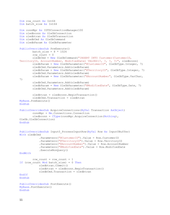```
Dim row count As Int64
Dim batch size As Int64
Dim connMgr As IDTSConnectionManager100
Dim oledbconn As OleDbConnection
Dim oledbtran As OleDbTransaction
Dim oledbCmd As OleDbCommand
Dim oledbParam As OleDbParameter
PublicOverridesSub PreExecute()
        batch size = 8 * 1024row count = 0oledbCmd = New OleDbCommand("INSERT INTO Customer (CustomerID,
TerritoryID, AccountNumber, ModifiedDate) VALUES(?, ?, ?, ?)", oledbconn)
         oledbParam = New OleDbParameter("@CustomerID", OleDbType.Integer, 7)
         oledbCmd.Parameters.Add(oledbParam)
         oledbParam = New OleDbParameter("@TerritoryID", OleDbType.Integer, 7)
         oledbCmd.Parameters.Add(oledbParam)
         oledbParam = New OleDbParameter("@AccountNumber", OleDbType.VarChar, 
7)
         oledbCmd.Parameters.Add(oledbParam)
         oledbParam = New OleDbParameter("@ModifiedDate", OleDbType.Date, 7)
         oledbCmd.Parameters.Add(oledbParam)
         oledbtran = oledbconn.BeginTransaction()
         oledbCmd.Transaction = oledbtran
MyBase.PreExecute()
EndSub
PublicOverridesSub AcquireConnections(ByVal Transaction AsObject)
         connMgr = Me.Connections.Connection
        oledbconn = CType(connMqr.AcquireConnection(Nothing),
OleDb.OleDbConnection)
EndSub
PublicOverridesSub Input0 ProcessInputRow(ByVal Row As Input0Buffer)
With oledbCmd
             .Parameters("@CustomerID").Value = Row.CustomerID
             .Parameters("@TerritoryID").Value = Row.TerritoryID
             .Parameters("@AccountNumber").Value = Row.AccountNumber
             .Parameters("@ModifiedDate").Value = Row.ModifiedDate
             .ExecuteNonQuery()
EndWith
        row count = row count + 1
If (row count Mod batch size) = 0 Then
             oledbtran.Commit()
             oledbtran = oledbconn.BeginTransaction()
             oledbCmd.Transaction = oledbtran
EndIf
EndSub
PublicOverridesSub PostExecute()
MyBase.PostExecute()
EndSub
```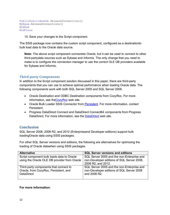```
PublicOverridesSub ReleaseConnections()
MyBase.ReleaseConnections()
EndSub
EndClass
```
15. Save your changes to the Script component.

The SSIS package now contains the custom script component, configured as a destinationto bulk load data to the Oracle data source.

**Note:** The above script component connectsto Oracle, but it can be used to connect to other third-partydata sources such as Sybase and Informix. The only change that you need to make is to configure the connection manager to use the correct OLE DB providers available for Sybase and Informix.

#### **[Third-party Components](#page-3-0)**

<span id="page-12-1"></span>In addition to the Script component solution discussed in this paper, there are third-party components that you can use to achieve optimal performance when loading Oracle data. The following components work with both SQL Server 2005 and SQL Server 2008.

- Oracle Destination and ODBC Destination components from CozyRoc. For more information, see th[eCozyRoc](http://www.cozyroc.com/) web site.
- Oracle Bulk Loader SSIS Connector from [Persistent.](http://www.persistentsys.com/) For more information, contact Persistent.
- Progress DataDirect Connect and DataDirect Connect64 components from Progress DataDirect. For more information, see the [DataDirect](http://www.datadirect.com/index.html) web site.

#### **[Conclusion](#page-3-0)**

SQL Server 2008, 2008 R2, and 2012 (Enterpriseand Developer editions) support bulk loadingOracle data using SSIS packages.

For other SQL Server versions and editions, the following are alternatives for optimizing the loading of Oracle datawhen using SSIS packages.

| <b>Alternative</b>                                                                                   | <b>SQL Server versions and editions</b>                                                                        |
|------------------------------------------------------------------------------------------------------|----------------------------------------------------------------------------------------------------------------|
| Script component bulk loads data to Oracle<br>using the Oracle OLE DB provider from Oracle           | SQL Server 2005 and the non-Enterprise and<br>non-Developer editions of SQL Server 2008,<br>2008 R2, and 2012. |
| Third-party components that connect to<br>Oracle, from CozyRoc, Persistent, and<br><b>DataDirect</b> | SQL Server 2005 and the non-Enterprise and<br>non-Developer editions of SQL Server 2008<br>and 2008 R2.        |

#### **For more information:**